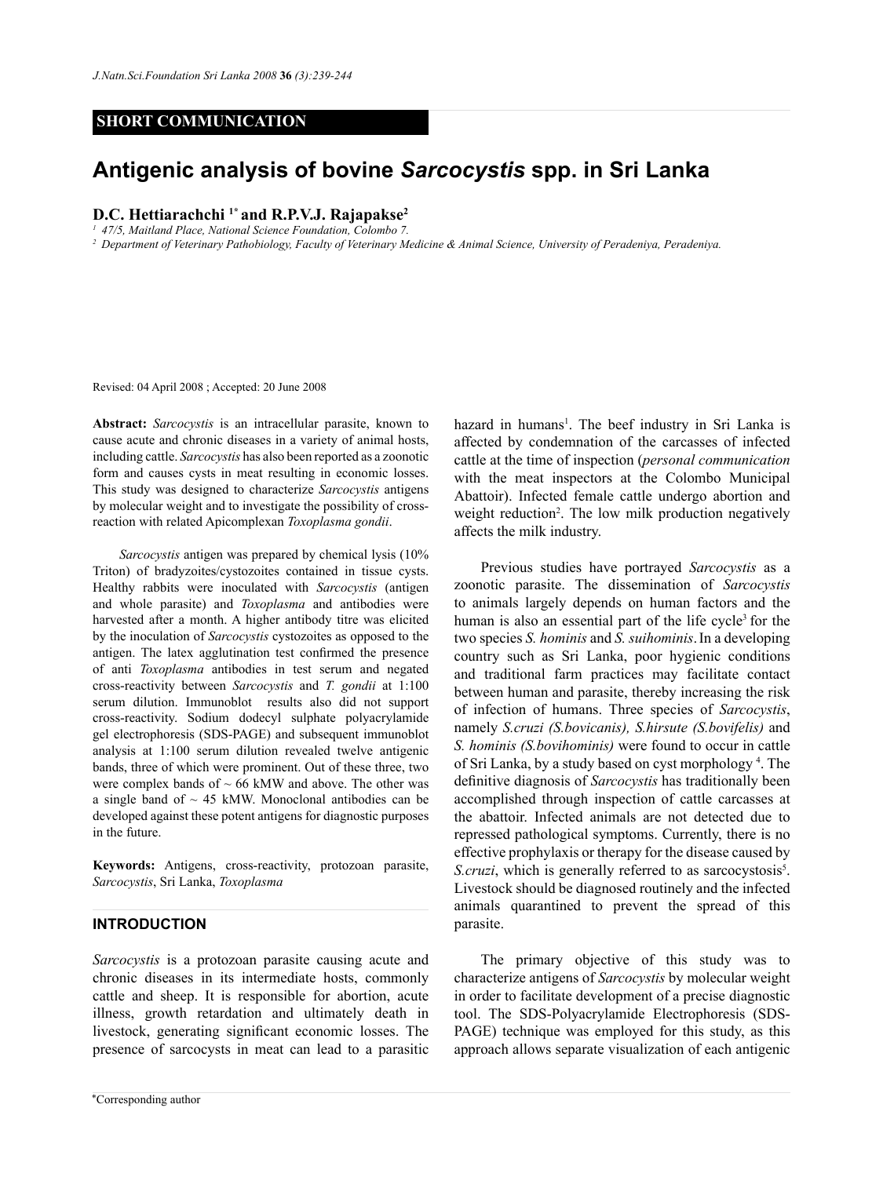## **SHORT COMMUNICATION**

# **Antigenic analysis of bovine** *Sarcocystis* **spp. in Sri Lanka**

# **D.C. Hettiarachchi 1\* and R.P.V.J. Rajapakse<sup>2</sup>**

*<sup>1</sup> 47/5, Maitland Place, National Science Foundation, Colombo 7.*

*<sup>2</sup> Department of Veterinary Pathobiology, Faculty of Veterinary Medicine & Animal Science, University of Peradeniya, Peradeniya.* 

Revised: 04 April 2008 ; Accepted: 20 June 2008

**Abstract:** *Sarcocystis* is an intracellular parasite, known to cause acute and chronic diseases in a variety of animal hosts, including cattle. *Sarcocystis* has also been reported as a zoonotic form and causes cysts in meat resulting in economic losses. This study was designed to characterize *Sarcocystis* antigens by molecular weight and to investigate the possibility of crossreaction with related Apicomplexan *Toxoplasma gondii*.

*Sarcocystis* antigen was prepared by chemical lysis (10% Triton) of bradyzoites/cystozoites contained in tissue cysts. Healthy rabbits were inoculated with *Sarcocystis* (antigen and whole parasite) and *Toxoplasma* and antibodies were harvested after a month. A higher antibody titre was elicited by the inoculation of *Sarcocystis* cystozoites as opposed to the antigen. The latex agglutination test confirmed the presence of anti *Toxoplasma* antibodies in test serum and negated cross-reactivity between *Sarcocystis* and *T. gondii* at 1:100 serum dilution. Immunoblot results also did not support cross-reactivity. Sodium dodecyl sulphate polyacrylamide gel electrophoresis (SDS-PAGE) and subsequent immunoblot analysis at 1:100 serum dilution revealed twelve antigenic bands, three of which were prominent. Out of these three, two were complex bands of  $\sim$  66 kMW and above. The other was a single band of  $\sim$  45 kMW. Monoclonal antibodies can be developed against these potent antigens for diagnostic purposes in the future.

**Keywords:** Antigens, cross-reactivity, protozoan parasite, *Sarcocystis*, Sri Lanka, *Toxoplasma*

#### **INTRODUCTION**

*Sarcocystis* is a protozoan parasite causing acute and chronic diseases in its intermediate hosts, commonly cattle and sheep. It is responsible for abortion, acute illness, growth retardation and ultimately death in livestock, generating significant economic losses. The presence of sarcocysts in meat can lead to a parasitic

hazard in humans<sup>1</sup>. The beef industry in Sri Lanka is affected by condemnation of the carcasses of infected cattle at the time of inspection (*personal communication*  with the meat inspectors at the Colombo Municipal Abattoir). Infected female cattle undergo abortion and weight reduction<sup>2</sup>. The low milk production negatively affects the milk industry.

Previous studies have portrayed *Sarcocystis* as a zoonotic parasite. The dissemination of *Sarcocystis* to animals largely depends on human factors and the human is also an essential part of the life cycle<sup>3</sup> for the two species *S. hominis* and *S. suihominis*.In a developing country such as Sri Lanka, poor hygienic conditions and traditional farm practices may facilitate contact between human and parasite, thereby increasing the risk of infection of humans. Three species of *Sarcocystis*, namely *S.cruzi (S.bovicanis), S.hirsute (S.bovifelis)* and *S. hominis (S.bovihominis)* were found to occur in cattle of Sri Lanka, by a study based on cyst morphology 4 . The definitive diagnosis of *Sarcocystis* has traditionally been accomplished through inspection of cattle carcasses at the abattoir. Infected animals are not detected due to repressed pathological symptoms. Currently, there is no effective prophylaxis or therapy for the disease caused by S.cruzi, which is generally referred to as sarcocystosis<sup>5</sup>. Livestock should be diagnosed routinely and the infected animals quarantined to prevent the spread of this parasite.

The primary objective of this study was to characterize antigens of *Sarcocystis* by molecular weight in order to facilitate development of a precise diagnostic tool. The SDS-Polyacrylamide Electrophoresis (SDS-PAGE) technique was employed for this study, as this approach allows separate visualization of each antigenic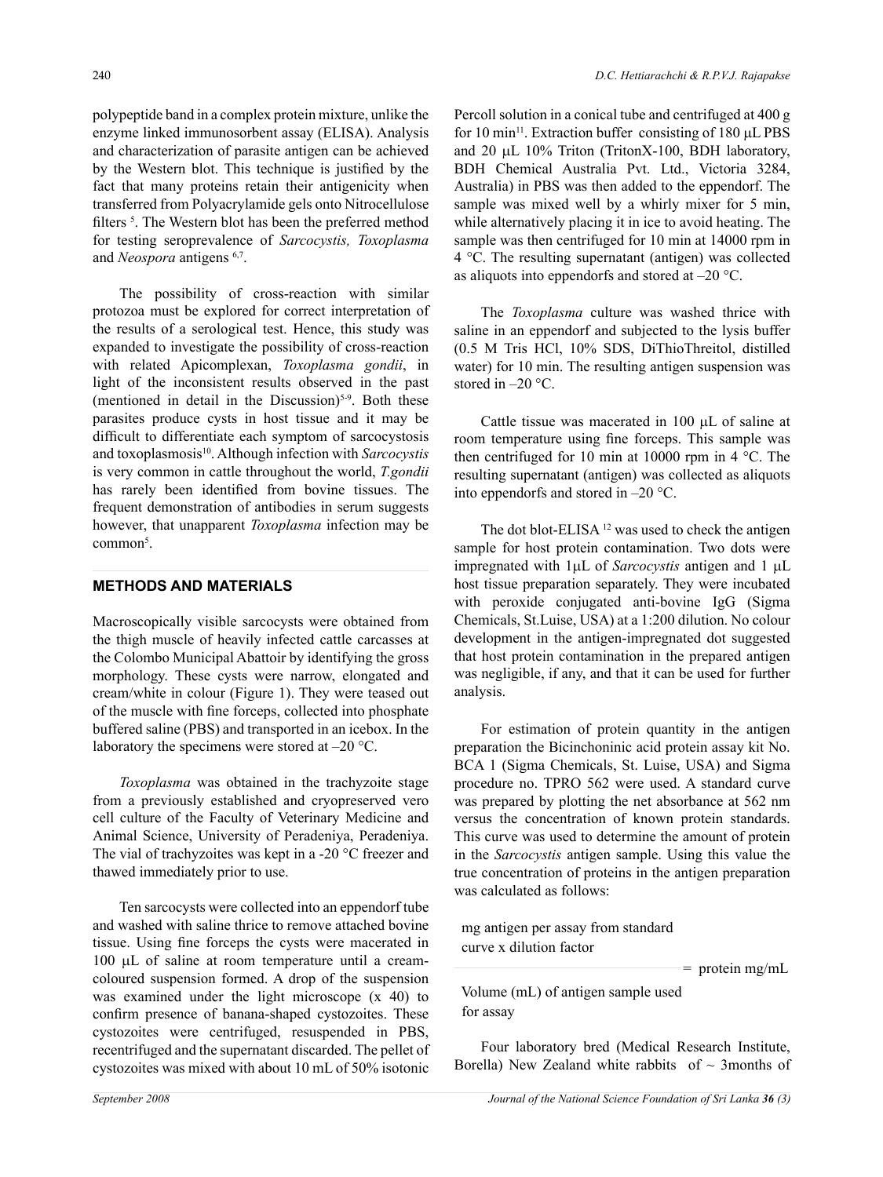polypeptide band in a complex protein mixture, unlike the enzyme linked immunosorbent assay (ELISA). Analysis and characterization of parasite antigen can be achieved by the Western blot. This technique is justified by the fact that many proteins retain their antigenicity when transferred from Polyacrylamide gels onto Nitrocellulose filters<sup>5</sup>. The Western blot has been the preferred method for testing seroprevalence of *Sarcocystis, Toxoplasma* and *Neospora* antigens 6,7.

The possibility of cross-reaction with similar protozoa must be explored for correct interpretation of the results of a serological test. Hence, this study was expanded to investigate the possibility of cross-reaction with related Apicomplexan, *Toxoplasma gondii*, in light of the inconsistent results observed in the past (mentioned in detail in the Discussion)<sup>5-9</sup>. Both these parasites produce cysts in host tissue and it may be difficult to differentiate each symptom of sarcocystosis and toxoplasmosis<sup>10</sup>. Although infection with *Sarcocystis* is very common in cattle throughout the world, *T.gondii* has rarely been identified from bovine tissues. The frequent demonstration of antibodies in serum suggests however, that unapparent *Toxoplasma* infection may be common<sup>5</sup>.

#### **METHODS AND MATERIALS**

Macroscopically visible sarcocysts were obtained from the thigh muscle of heavily infected cattle carcasses at the Colombo Municipal Abattoir by identifying the gross morphology. These cysts were narrow, elongated and cream/white in colour (Figure 1). They were teased out of the muscle with fine forceps, collected into phosphate buffered saline (PBS) and transported in an icebox. In the laboratory the specimens were stored at –20 °C.

*Toxoplasma* was obtained in the trachyzoite stage from a previously established and cryopreserved vero cell culture of the Faculty of Veterinary Medicine and Animal Science, University of Peradeniya, Peradeniya. The vial of trachyzoites was kept in a -20 °C freezer and thawed immediately prior to use.

Ten sarcocysts were collected into an eppendorf tube and washed with saline thrice to remove attached bovine tissue. Using fine forceps the cysts were macerated in 100 µL of saline at room temperature until a creamcoloured suspension formed. A drop of the suspension was examined under the light microscope (x 40) to confirm presence of banana-shaped cystozoites. These cystozoites were centrifuged, resuspended in PBS, recentrifuged and the supernatant discarded. The pellet of cystozoites was mixed with about 10 mL of 50% isotonic

Percoll solution in a conical tube and centrifuged at 400 g for 10 min<sup>11</sup>. Extraction buffer consisting of 180  $\mu$ L PBS and 20 µL 10% Triton (TritonX-100, BDH laboratory, BDH Chemical Australia Pvt. Ltd., Victoria 3284, Australia) in PBS was then added to the eppendorf. The sample was mixed well by a whirly mixer for 5 min, while alternatively placing it in ice to avoid heating. The sample was then centrifuged for 10 min at 14000 rpm in 4 °C. The resulting supernatant (antigen) was collected as aliquots into eppendorfs and stored at –20 °C.

The *Toxoplasma* culture was washed thrice with saline in an eppendorf and subjected to the lysis buffer (0.5 M Tris HCl, 10% SDS, DiThioThreitol, distilled water) for 10 min. The resulting antigen suspension was stored in  $-20$  °C.

Cattle tissue was macerated in 100 µL of saline at room temperature using fine forceps. This sample was then centrifuged for 10 min at 10000 rpm in 4 °C. The resulting supernatant (antigen) was collected as aliquots into eppendorfs and stored in –20 °C.

The dot blot-ELISA<sup>12</sup> was used to check the antigen sample for host protein contamination. Two dots were impregnated with 1µL of *Sarcocystis* antigen and 1 µL host tissue preparation separately. They were incubated with peroxide conjugated anti-bovine IgG (Sigma Chemicals, St.Luise, USA) at a 1:200 dilution. No colour development in the antigen-impregnated dot suggested that host protein contamination in the prepared antigen was negligible, if any, and that it can be used for further analysis.

For estimation of protein quantity in the antigen preparation the Bicinchoninic acid protein assay kit No. BCA 1 (Sigma Chemicals, St. Luise, USA) and Sigma procedure no. TPRO 562 were used. A standard curve was prepared by plotting the net absorbance at 562 nm versus the concentration of known protein standards. This curve was used to determine the amount of protein in the *Sarcocystis* antigen sample. Using this value the true concentration of proteins in the antigen preparation was calculated as follows:

 mg antigen per assay from standard curve x dilution factor

 $=$  protein mg/mL

 Volume (mL) of antigen sample used for assay

Four laboratory bred (Medical Research Institute, Borella) New Zealand white rabbits of  $\sim$  3months of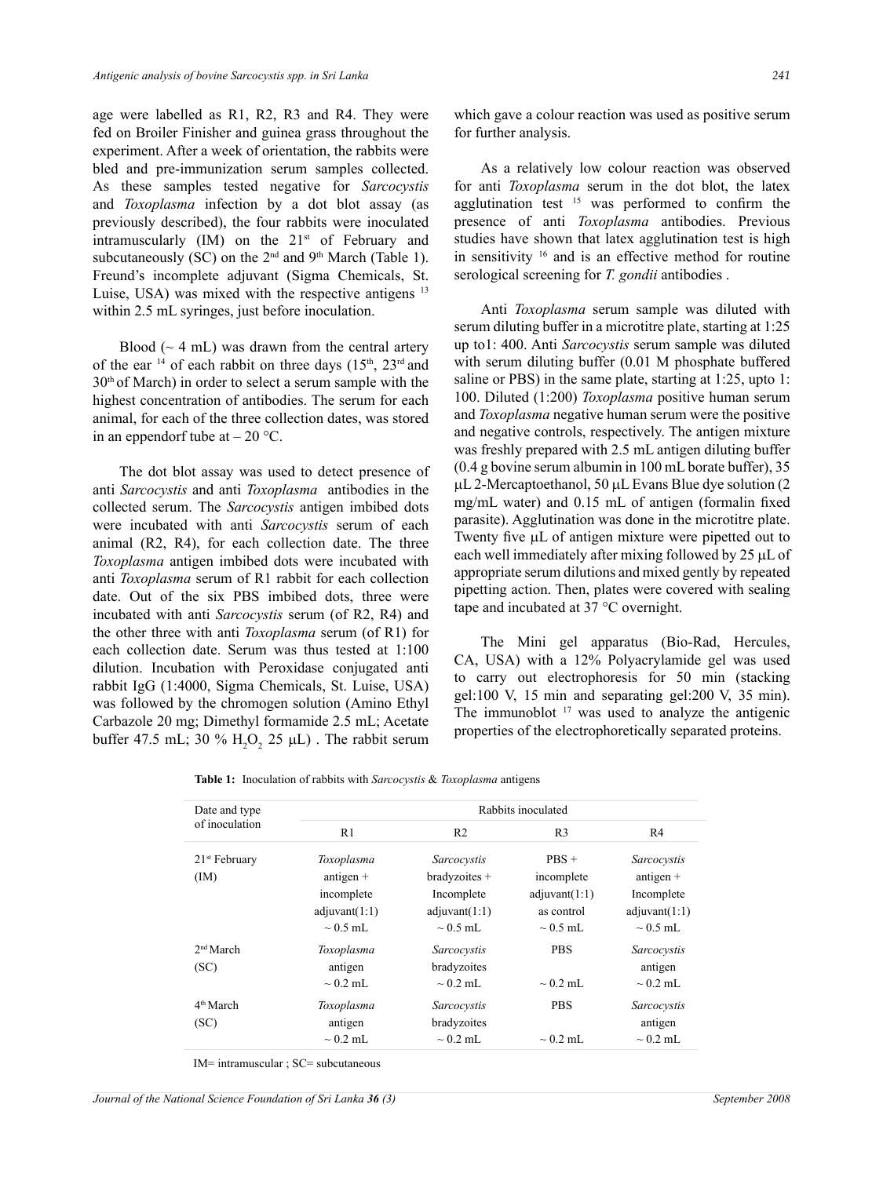age were labelled as R1, R2, R3 and R4. They were fed on Broiler Finisher and guinea grass throughout the experiment. After a week of orientation, the rabbits were bled and pre-immunization serum samples collected. As these samples tested negative for *Sarcocystis* and *Toxoplasma* infection by a dot blot assay (as previously described), the four rabbits were inoculated intramuscularly  $(IM)$  on the  $21<sup>st</sup>$  of February and subcutaneously (SC) on the  $2<sup>nd</sup>$  and  $9<sup>th</sup>$  March (Table 1). Freund's incomplete adjuvant (Sigma Chemicals, St. Luise, USA) was mixed with the respective antigens <sup>13</sup> within 2.5 mL syringes, just before inoculation.

Blood ( $\sim$  4 mL) was drawn from the central artery of the ear  $14$  of each rabbit on three days  $(15<sup>th</sup>, 23<sup>rd</sup>$  and 30th of March) in order to select a serum sample with the highest concentration of antibodies. The serum for each animal, for each of the three collection dates, was stored in an eppendorf tube at  $-20$  °C.

The dot blot assay was used to detect presence of anti *Sarcocystis* and anti *Toxoplasma* antibodies in the collected serum. The *Sarcocystis* antigen imbibed dots were incubated with anti *Sarcocystis* serum of each animal (R2, R4), for each collection date. The three *Toxoplasma* antigen imbibed dots were incubated with anti *Toxoplasma* serum of R1 rabbit for each collection date. Out of the six PBS imbibed dots, three were incubated with anti *Sarcocystis* serum (of R2, R4) and the other three with anti *Toxoplasma* serum (of R1) for each collection date. Serum was thus tested at 1:100 dilution. Incubation with Peroxidase conjugated anti rabbit IgG (1:4000, Sigma Chemicals, St. Luise, USA) was followed by the chromogen solution (Amino Ethyl Carbazole 20 mg; Dimethyl formamide 2.5 mL; Acetate buffer 47.5 mL; 30 %  $H_2O_2$  25  $\mu$ L). The rabbit serum which gave a colour reaction was used as positive serum for further analysis.

As a relatively low colour reaction was observed for anti *Toxoplasma* serum in the dot blot, the latex agglutination test  $15$  was performed to confirm the presence of anti *Toxoplasma* antibodies. Previous studies have shown that latex agglutination test is high in sensitivity 16 and is an effective method for routine serological screening for *T. gondii* antibodies .

Anti *Toxoplasma* serum sample was diluted with serum diluting buffer in a microtitre plate, starting at 1:25 up to1: 400. Anti *Sarcocystis* serum sample was diluted with serum diluting buffer (0.01 M phosphate buffered saline or PBS) in the same plate, starting at 1:25, upto 1: 100. Diluted (1:200) *Toxoplasma* positive human serum and *Toxoplasma* negative human serum were the positive and negative controls, respectively. The antigen mixture was freshly prepared with 2.5 mL antigen diluting buffer (0.4 g bovine serum albumin in 100 mL borate buffer), 35  $\mu$ L 2-Mercaptoethanol, 50  $\mu$ L Evans Blue dye solution (2) mg/mL water) and 0.15 mL of antigen (formalin fixed parasite). Agglutination was done in the microtitre plate. Twenty five  $\mu$ L of antigen mixture were pipetted out to each well immediately after mixing followed by 25 µL of appropriate serum dilutions and mixed gently by repeated pipetting action. Then, plates were covered with sealing tape and incubated at 37 °C overnight.

The Mini gel apparatus (Bio-Rad, Hercules, CA, USA) with a 12% Polyacrylamide gel was used to carry out electrophoresis for 50 min (stacking gel:100 V, 15 min and separating gel:200 V, 35 min). The immunoblot  $17$  was used to analyze the antigenic properties of the electrophoretically separated proteins.

| <b>Table 1:</b> Inoculation of rabbits with <i>Sarcocystis &amp; Toxoplasma</i> antigens |
|------------------------------------------------------------------------------------------|
|------------------------------------------------------------------------------------------|

| Date and type<br>of inoculation | Rabbits inoculated |                 |                |               |
|---------------------------------|--------------------|-----------------|----------------|---------------|
|                                 | R <sub>1</sub>     | R <sub>2</sub>  | R <sub>3</sub> | R4            |
| $21st$ February                 | Toxoplasma         | Sarcocystis     | $PBS +$        | Sarcocystis   |
| (IM)                            | antigen $+$        | $bradyzoites +$ | incomplete     | antigen $+$   |
|                                 | incomplete         | Incomplete      | adiuvant(1:1)  | Incomplete    |
|                                 | adjuvant(1:1)      | adjuvant(1:1)   | as control     | adjuvant(1:1) |
|                                 | $\sim$ 0.5 mL      | $\sim 0.5$ mL   | $\sim$ 0.5 mL  | $\sim 0.5$ mL |
| 2 <sup>nd</sup> March           | Toxoplasma         | Sarcocystis     | <b>PBS</b>     | Sarcocystis   |
| (SC)                            | antigen            | bradyzoites     |                | antigen       |
|                                 | $\sim$ 0.2 mL      | $\sim$ 0.2 mL   | $\sim$ 0.2 mL  | $\sim$ 0.2 mL |
| 4 <sup>th</sup> March           | Toxoplasma         | Sarcocystis     | <b>PBS</b>     | Sarcocystis   |
| (SC)                            | antigen            | bradyzoites     |                | antigen       |
|                                 | $\sim 0.2$ mL      | $\sim 0.2$ mL   | $\sim 0.2$ mL  | $\sim 0.2$ mL |

IM= intramuscular ; SC= subcutaneous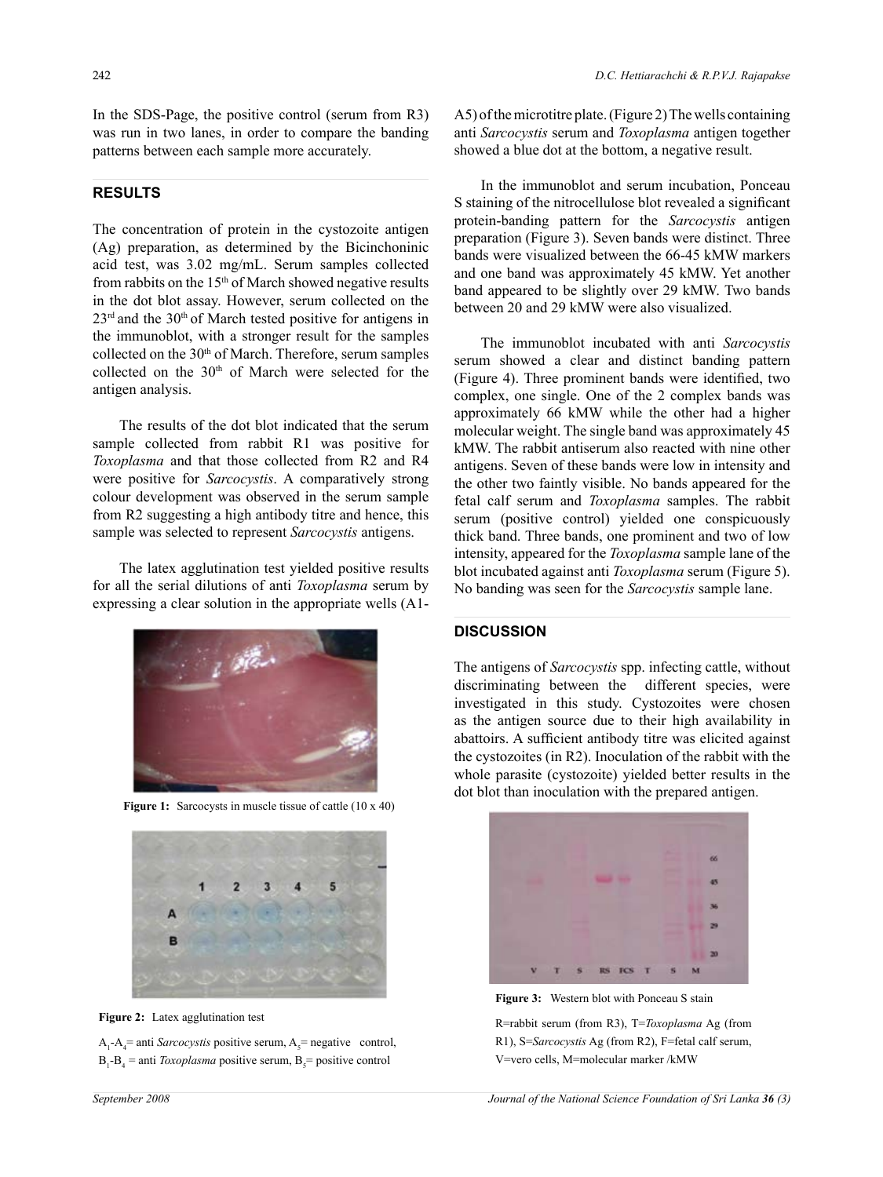In the SDS-Page, the positive control (serum from R3) was run in two lanes, in order to compare the banding patterns between each sample more accurately.

### **RESULTS**

The concentration of protein in the cystozoite antigen (Ag) preparation, as determined by the Bicinchoninic acid test, was 3.02 mg/mL. Serum samples collected from rabbits on the  $15<sup>th</sup>$  of March showed negative results in the dot blot assay. However, serum collected on the  $23<sup>rd</sup>$  and the 30<sup>th</sup> of March tested positive for antigens in the immunoblot, with a stronger result for the samples collected on the 30<sup>th</sup> of March. Therefore, serum samples collected on the  $30<sup>th</sup>$  of March were selected for the antigen analysis.

The results of the dot blot indicated that the serum sample collected from rabbit R1 was positive for *Toxoplasma* and that those collected from R2 and R4 were positive for *Sarcocystis*. A comparatively strong colour development was observed in the serum sample from R2 suggesting a high antibody titre and hence, this sample was selected to represent *Sarcocystis* antigens.

The latex agglutination test yielded positive results for all the serial dilutions of anti *Toxoplasma* serum by expressing a clear solution in the appropriate wells (A1-



**Figure 1:** Sarcocysts in muscle tissue of cattle (10 x 40)





 $A_1 - A_4$  = anti *Sarcocystis* positive serum,  $A_5$  = negative control,  $B_1 - B_4$  = anti *Toxoplasma* positive serum,  $B_5$  = positive control

A5) of the microtitre plate. (Figure 2) The wells containing anti *Sarcocystis* serum and *Toxoplasma* antigen together showed a blue dot at the bottom, a negative result.

In the immunoblot and serum incubation, Ponceau S staining of the nitrocellulose blot revealed a significant protein-banding pattern for the *Sarcocystis* antigen preparation (Figure 3). Seven bands were distinct. Three bands were visualized between the 66-45 kMW markers and one band was approximately 45 kMW. Yet another band appeared to be slightly over 29 kMW. Two bands between 20 and 29 kMW were also visualized.

The immunoblot incubated with anti *Sarcocystis* serum showed a clear and distinct banding pattern (Figure 4). Three prominent bands were identified, two complex, one single. One of the 2 complex bands was approximately 66 kMW while the other had a higher molecular weight. The single band was approximately 45 kMW. The rabbit antiserum also reacted with nine other antigens. Seven of these bands were low in intensity and the other two faintly visible. No bands appeared for the fetal calf serum and *Toxoplasma* samples. The rabbit serum (positive control) yielded one conspicuously thick band. Three bands, one prominent and two of low intensity, appeared for the *Toxoplasma* sample lane of the blot incubated against anti *Toxoplasma* serum (Figure 5). No banding was seen for the *Sarcocystis* sample lane.

#### **Discussion**

The antigens of *Sarcocystis* spp. infecting cattle, without discriminating between the different species, were investigated in this study. Cystozoites were chosen as the antigen source due to their high availability in abattoirs. A sufficient antibody titre was elicited against the cystozoites (in R2). Inoculation of the rabbit with the whole parasite (cystozoite) yielded better results in the dot blot than inoculation with the prepared antigen.



**Figure 3:** Western blot with Ponceau S stain

R=rabbit serum (from R3), T=*Toxoplasma* Ag (from R1), S=*Sarcocystis* Ag (from R2), F=fetal calf serum, V=vero cells, M=molecular marker /kMW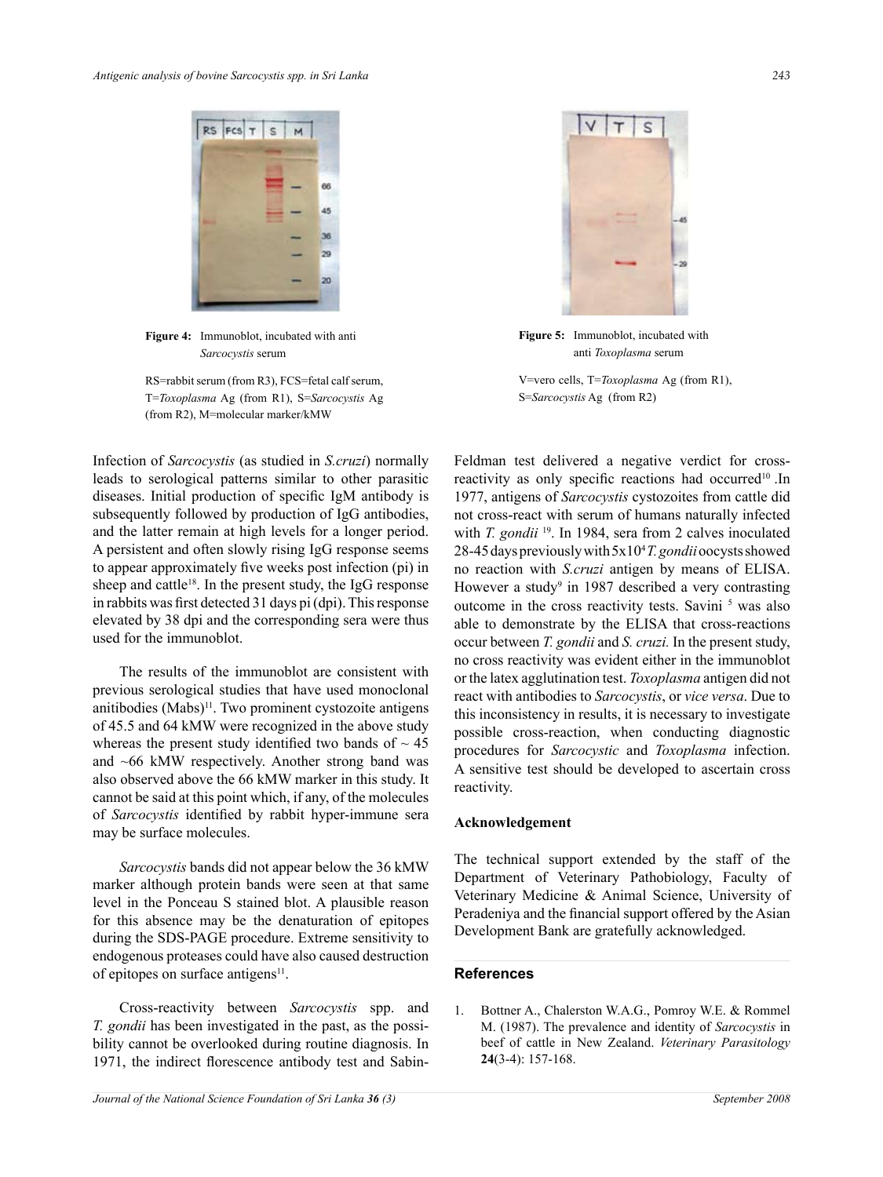

**Figure 4:** Immunoblot, incubated with anti *Sarcocystis* serum

RS=rabbit serum (from R3), FCS=fetal calf serum, T=*Toxoplasma* Ag (from R1), S=*Sarcocystis* Ag (from R2), M=molecular marker/kMW

Infection of *Sarcocystis* (as studied in *S.cruzi*) normally leads to serological patterns similar to other parasitic diseases. Initial production of specific IgM antibody is subsequently followed by production of IgG antibodies, and the latter remain at high levels for a longer period. A persistent and often slowly rising IgG response seems to appear approximately five weeks post infection (pi) in sheep and cattle<sup>18</sup>. In the present study, the IgG response in rabbits was first detected 31 days pi (dpi). This response elevated by 38 dpi and the corresponding sera were thus used for the immunoblot.

The results of the immunoblot are consistent with previous serological studies that have used monoclonal anitibodies  $(Mabs)^{11}$ . Two prominent cystozoite antigens of 45.5 and 64 kMW were recognized in the above study whereas the present study identified two bands of  $\sim$  45 and ~66 kMW respectively. Another strong band was also observed above the 66 kMW marker in this study. It cannot be said at this point which, if any, of the molecules of *Sarcocystis* identified by rabbit hyper-immune sera may be surface molecules.

*Sarcocystis* bands did not appear below the 36 kMW marker although protein bands were seen at that same level in the Ponceau S stained blot. A plausible reason for this absence may be the denaturation of epitopes during the SDS-PAGE procedure. Extreme sensitivity to endogenous proteases could have also caused destruction of epitopes on surface antigens $11$ .

Cross-reactivity between *Sarcocystis* spp. and *T. gondii* has been investigated in the past, as the possibility cannot be overlooked during routine diagnosis. In 1971, the indirect florescence antibody test and Sabin-



**Figure 5:** Immunoblot, incubated with anti *Toxoplasma* serum

V=vero cells, T=*Toxoplasma* Ag (from R1), S=*Sarcocystis* Ag (from R2)

Feldman test delivered a negative verdict for crossreactivity as only specific reactions had occurred<sup>10</sup>.In 1977, antigens of *Sarcocystis* cystozoites from cattle did not cross-react with serum of humans naturally infected with *T. gondii* <sup>19</sup>. In 1984, sera from 2 calves inoculated 28-45 days previously with 5x104 *T. gondii* oocysts showed no reaction with *S.cruzi* antigen by means of ELISA. However a study<sup>9</sup> in 1987 described a very contrasting outcome in the cross reactivity tests. Savini<sup>5</sup> was also able to demonstrate by the ELISA that cross-reactions occur between *T. gondii* and *S. cruzi.* In the present study, no cross reactivity was evident either in the immunoblot or the latex agglutination test. *Toxoplasma* antigen did not react with antibodies to *Sarcocystis*, or *vice versa*. Due to this inconsistency in results, it is necessary to investigate possible cross-reaction, when conducting diagnostic procedures for *Sarcocystic* and *Toxoplasma* infection. A sensitive test should be developed to ascertain cross reactivity.

#### **Acknowledgement**

The technical support extended by the staff of the Department of Veterinary Pathobiology, Faculty of Veterinary Medicine & Animal Science, University of Peradeniya and the financial support offered by the Asian Development Bank are gratefully acknowledged.

#### **References**

1. Bottner A., Chalerston W.A.G., Pomroy W.E. & Rommel M. (1987). The prevalence and identity of *Sarcocystis* in beef of cattle in New Zealand. *Veterinary Parasitology*  **24**(3-4): 157-168.